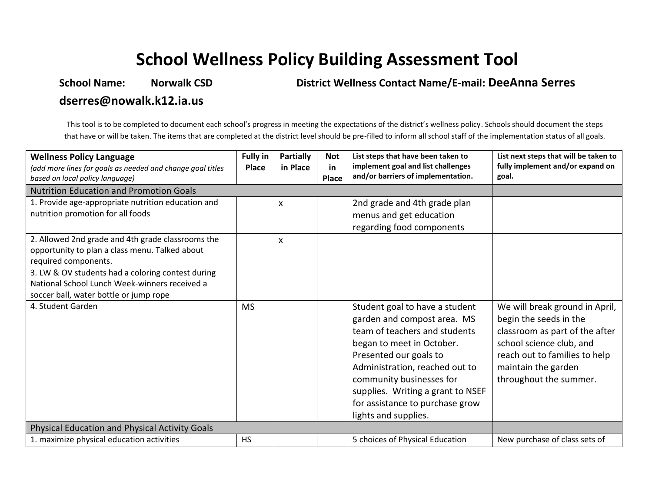## **School Wellness Policy Building Assessment Tool**

## **School Name: Norwalk CSD District Wellness Contact Name/E-mail: DeeAnna Serres dserres@nowalk.k12.ia.us**

This tool is to be completed to document each school's progress in meeting the expectations of the district's wellness policy. Schools should document the steps that have or will be taken. The items that are completed at the district level should be pre-filled to inform all school staff of the implementation status of all goals.

| <b>Wellness Policy Language</b><br>(add more lines for goals as needed and change goal titles | <b>Fully in</b><br>Place | <b>Partially</b><br>in Place | <b>Not</b><br>in | List steps that have been taken to<br>implement goal and list challenges | List next steps that will be taken to<br>fully implement and/or expand on |
|-----------------------------------------------------------------------------------------------|--------------------------|------------------------------|------------------|--------------------------------------------------------------------------|---------------------------------------------------------------------------|
| based on local policy language)                                                               |                          |                              | Place            | and/or barriers of implementation.                                       | goal.                                                                     |
| <b>Nutrition Education and Promotion Goals</b>                                                |                          |                              |                  |                                                                          |                                                                           |
| 1. Provide age-appropriate nutrition education and                                            |                          | X                            |                  | 2nd grade and 4th grade plan                                             |                                                                           |
| nutrition promotion for all foods                                                             |                          |                              |                  | menus and get education                                                  |                                                                           |
|                                                                                               |                          |                              |                  | regarding food components                                                |                                                                           |
| 2. Allowed 2nd grade and 4th grade classrooms the                                             |                          | X                            |                  |                                                                          |                                                                           |
| opportunity to plan a class menu. Talked about                                                |                          |                              |                  |                                                                          |                                                                           |
| required components.                                                                          |                          |                              |                  |                                                                          |                                                                           |
| 3. LW & OV students had a coloring contest during                                             |                          |                              |                  |                                                                          |                                                                           |
| National School Lunch Week-winners received a                                                 |                          |                              |                  |                                                                          |                                                                           |
| soccer ball, water bottle or jump rope                                                        |                          |                              |                  |                                                                          |                                                                           |
| 4. Student Garden                                                                             | <b>MS</b>                |                              |                  | Student goal to have a student                                           | We will break ground in April,                                            |
|                                                                                               |                          |                              |                  | garden and compost area. MS                                              | begin the seeds in the                                                    |
|                                                                                               |                          |                              |                  | team of teachers and students                                            | classroom as part of the after                                            |
|                                                                                               |                          |                              |                  | began to meet in October.                                                | school science club, and                                                  |
|                                                                                               |                          |                              |                  | Presented our goals to                                                   | reach out to families to help                                             |
|                                                                                               |                          |                              |                  | Administration, reached out to                                           | maintain the garden                                                       |
|                                                                                               |                          |                              |                  | community businesses for                                                 | throughout the summer.                                                    |
|                                                                                               |                          |                              |                  | supplies. Writing a grant to NSEF                                        |                                                                           |
|                                                                                               |                          |                              |                  | for assistance to purchase grow                                          |                                                                           |
|                                                                                               |                          |                              |                  |                                                                          |                                                                           |
|                                                                                               |                          |                              |                  | lights and supplies.                                                     |                                                                           |
| Physical Education and Physical Activity Goals                                                |                          |                              |                  |                                                                          |                                                                           |
| 1. maximize physical education activities                                                     | <b>HS</b>                |                              |                  | 5 choices of Physical Education                                          | New purchase of class sets of                                             |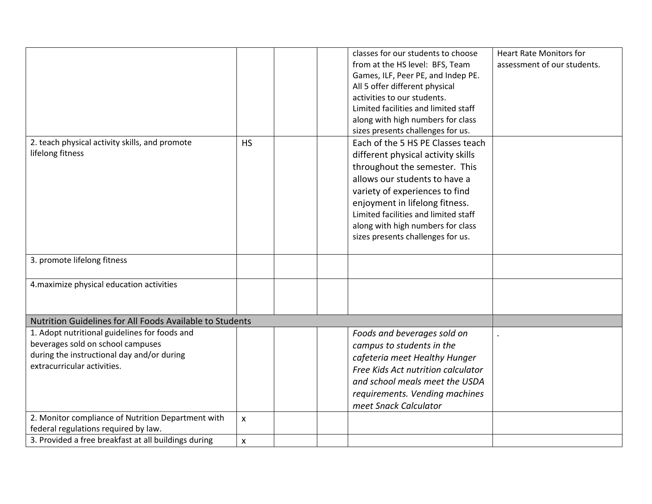|                                                      |                                                          |  |  | classes for our students to choose   | <b>Heart Rate Monitors for</b> |  |  |
|------------------------------------------------------|----------------------------------------------------------|--|--|--------------------------------------|--------------------------------|--|--|
|                                                      |                                                          |  |  | from at the HS level: BFS, Team      | assessment of our students.    |  |  |
|                                                      |                                                          |  |  | Games, ILF, Peer PE, and Indep PE.   |                                |  |  |
|                                                      |                                                          |  |  | All 5 offer different physical       |                                |  |  |
|                                                      |                                                          |  |  | activities to our students.          |                                |  |  |
|                                                      |                                                          |  |  | Limited facilities and limited staff |                                |  |  |
|                                                      |                                                          |  |  | along with high numbers for class    |                                |  |  |
|                                                      |                                                          |  |  | sizes presents challenges for us.    |                                |  |  |
| 2. teach physical activity skills, and promote       | <b>HS</b>                                                |  |  | Each of the 5 HS PE Classes teach    |                                |  |  |
| lifelong fitness                                     |                                                          |  |  | different physical activity skills   |                                |  |  |
|                                                      |                                                          |  |  | throughout the semester. This        |                                |  |  |
|                                                      |                                                          |  |  | allows our students to have a        |                                |  |  |
|                                                      |                                                          |  |  | variety of experiences to find       |                                |  |  |
|                                                      |                                                          |  |  | enjoyment in lifelong fitness.       |                                |  |  |
|                                                      |                                                          |  |  | Limited facilities and limited staff |                                |  |  |
|                                                      |                                                          |  |  | along with high numbers for class    |                                |  |  |
|                                                      |                                                          |  |  | sizes presents challenges for us.    |                                |  |  |
|                                                      |                                                          |  |  |                                      |                                |  |  |
| 3. promote lifelong fitness                          |                                                          |  |  |                                      |                                |  |  |
|                                                      |                                                          |  |  |                                      |                                |  |  |
| 4. maximize physical education activities            |                                                          |  |  |                                      |                                |  |  |
|                                                      |                                                          |  |  |                                      |                                |  |  |
|                                                      |                                                          |  |  |                                      |                                |  |  |
|                                                      | Nutrition Guidelines for All Foods Available to Students |  |  |                                      |                                |  |  |
| 1. Adopt nutritional guidelines for foods and        |                                                          |  |  | Foods and beverages sold on          |                                |  |  |
| beverages sold on school campuses                    |                                                          |  |  | campus to students in the            |                                |  |  |
| during the instructional day and/or during           |                                                          |  |  | cafeteria meet Healthy Hunger        |                                |  |  |
| extracurricular activities.                          |                                                          |  |  | Free Kids Act nutrition calculator   |                                |  |  |
|                                                      |                                                          |  |  | and school meals meet the USDA       |                                |  |  |
|                                                      |                                                          |  |  | requirements. Vending machines       |                                |  |  |
|                                                      |                                                          |  |  | meet Snack Calculator                |                                |  |  |
| 2. Monitor compliance of Nutrition Department with   | $\pmb{\mathsf{X}}$                                       |  |  |                                      |                                |  |  |
| federal regulations required by law.                 |                                                          |  |  |                                      |                                |  |  |
| 3. Provided a free breakfast at all buildings during | $\boldsymbol{\mathsf{X}}$                                |  |  |                                      |                                |  |  |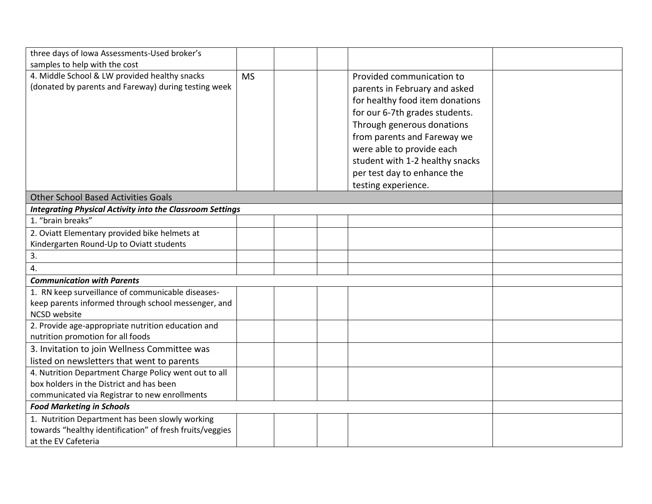| three days of Iowa Assessments-Used broker's                                                                                                       |           |  |  |                                                                                                                                                                                                                                                                                                                    |  |
|----------------------------------------------------------------------------------------------------------------------------------------------------|-----------|--|--|--------------------------------------------------------------------------------------------------------------------------------------------------------------------------------------------------------------------------------------------------------------------------------------------------------------------|--|
| samples to help with the cost                                                                                                                      |           |  |  |                                                                                                                                                                                                                                                                                                                    |  |
| 4. Middle School & LW provided healthy snacks<br>(donated by parents and Fareway) during testing week                                              | <b>MS</b> |  |  | Provided communication to<br>parents in February and asked<br>for healthy food item donations<br>for our 6-7th grades students.<br>Through generous donations<br>from parents and Fareway we<br>were able to provide each<br>student with 1-2 healthy snacks<br>per test day to enhance the<br>testing experience. |  |
| <b>Other School Based Activities Goals</b>                                                                                                         |           |  |  |                                                                                                                                                                                                                                                                                                                    |  |
| <b>Integrating Physical Activity into the Classroom Settings</b>                                                                                   |           |  |  |                                                                                                                                                                                                                                                                                                                    |  |
| 1. "brain breaks"                                                                                                                                  |           |  |  |                                                                                                                                                                                                                                                                                                                    |  |
| 2. Oviatt Elementary provided bike helmets at<br>Kindergarten Round-Up to Oviatt students                                                          |           |  |  |                                                                                                                                                                                                                                                                                                                    |  |
| 3.                                                                                                                                                 |           |  |  |                                                                                                                                                                                                                                                                                                                    |  |
| 4.                                                                                                                                                 |           |  |  |                                                                                                                                                                                                                                                                                                                    |  |
| <b>Communication with Parents</b>                                                                                                                  |           |  |  |                                                                                                                                                                                                                                                                                                                    |  |
| 1. RN keep surveillance of communicable diseases-<br>keep parents informed through school messenger, and<br>NCSD website                           |           |  |  |                                                                                                                                                                                                                                                                                                                    |  |
| 2. Provide age-appropriate nutrition education and<br>nutrition promotion for all foods                                                            |           |  |  |                                                                                                                                                                                                                                                                                                                    |  |
| 3. Invitation to join Wellness Committee was<br>listed on newsletters that went to parents                                                         |           |  |  |                                                                                                                                                                                                                                                                                                                    |  |
| 4. Nutrition Department Charge Policy went out to all<br>box holders in the District and has been<br>communicated via Registrar to new enrollments |           |  |  |                                                                                                                                                                                                                                                                                                                    |  |
| <b>Food Marketing in Schools</b>                                                                                                                   |           |  |  |                                                                                                                                                                                                                                                                                                                    |  |
| 1. Nutrition Department has been slowly working<br>towards "healthy identification" of fresh fruits/veggies<br>at the EV Cafeteria                 |           |  |  |                                                                                                                                                                                                                                                                                                                    |  |